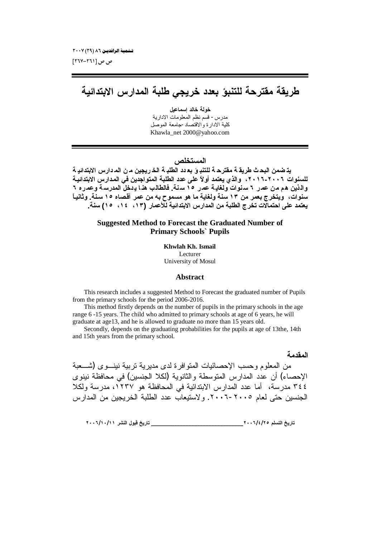ص ص [۲٦١–۲٦۷]

# طريقة مفترحة للتنبؤ بعدد خريجى طلبة المدارس الابتدائية

خولة خالد اسماعيل مدرس- قسم نظم المعلومات الادارية كلية الادارة والاقتصاد-جامعة الموصل Khawla net 2000@vahoo.com

# المستخلص

يتـ ضمن البحـث طريقــة مفترحــة للتنبــوَ بـــودد الطلبــة الـخــريجين مــن المــدارس الابتدائيــة للسنوات ٢٠٠٦-٢٠١٦، والذي يعتمد أولاً على عدد الطلبة المتواجدين في المدارس الابتدائية والذين هم من عمر ٦ سنوات ولغايـة عمر ١٥ سنـة. فالطالب هذا يـدخلّ المدرسـة وعمـره ٦ سَّنواتٌ، ۖ ويتخرج بعمر من ١٣ سنة ولغاية ما هو مسموح به من عمر أقصاه ١٥ سنة. وثانياً يعتمد على احتمالًات تخرج الطلبة من المدارس الابتدائية للأعمار (١٣، ١٤، ١٥) سنة.

## **Suggested Method to Forecast the Graduated Number of Primary Schools' Pupils**

Khwlah Kh. Ismail Lecturer University of Mosul

## **Abstract**

This research includes a suggested Method to Forecast the graduated number of Pupils from the primary schools for the period 2006-2016.

This method firstly depends on the number of pupils in the primary schools in the age range 6-15 years. The child who admitted to primary schools at age of 6 years, he will graduate at age13, and he is allowed to graduate no more than 15 years old.

Secondly, depends on the graduating probabilities for the pupils at age of 13the, 14th and 15th years from the primary school.

#### المقدمة

من المعلوم وحسب الإحصائيات المنوافرة لدى مديرية نربية نينسوى (شــعبة الإحصاء) أن عدد المدارس المتوسطة والثانوية (لكلا الجنسين) في محافظة نينوي ٣٤٤ مدرسة، أما عدد المدارس الابتدائية في المحافظة هو ١٢٣٧، مدرسة ولكلا الجنسين حتى لعام ٢٠٠٥-٢٠٠٦. ولاستيعاب عدد الطلبة الخريجين من المدارس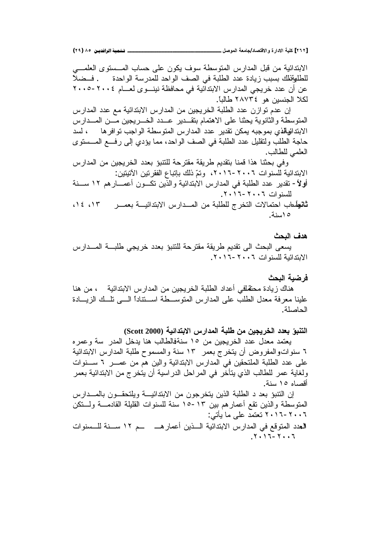الابتدائية من قبل المدارس المنوسطة سوف يكون على حساب المـــسنوى العلمــــي للطليقظك بسبب زيادة عدد الطلبة في الصف الواحد للمدرسة الواحدة . فــضلاً عن أن عدد خريجي المدارس الابتداّئية في محافظة نينـــوى لعــــام ٢٠٠٤-٢٠٠٥ لكلا الجنسين هو ٢٨٧٣٤ طالباً.

إن عدم توازن عدد الطلبة الخريجين من المدارس الابتدائية مع عدد المدارس المتوسطة والثانوية يحثنا على الاهتمام بتقـدير عــدد الخــريجين مـــن المـــدارس الابتدائية في بموجبه يمكن تقدير عدد المدارس المتوسطة الواجب توافر ها ، لسد حاجة الطلب ولنقليل عدد الطلبة في الصف الواحد، مما يؤدي إلى رفع المـــسنوي العلمي للطالب.

وفي بحثنا هذا قمنا بتقديم طريقة مقترحة للتتبؤ بعدد الخريجين من المدارس الابتدائية للسنوات ٢٠٠٦-٢٠١٦، وتمّ ذلك بإتباع الفقرنين الآتيتين: **أولاً**– نقدير عدد الطلبة في المدارس الابتدائية والذين نكــون أعمـــارهم ١٢ ســـنة للسنوات ٢٠١٦-٦٠١٦.

**ثاني**لَعاب احتمالات التخرج للطلبة من المــدارس الابتدائيـــة بعمـــر ١٢، ١٤، 10 اسنة.

## ه*دف ا*لبحث

يسعى البحث الى تقديم طريقة مقترحة للتتبؤ بعدد خريجي طلبـــة المـــدارس الابتدائية للسنوات ٦٠٠٦-٦٠١٦.

### فر ضبة البحث

هناك زيادة محنفلفي أعداد الطلبة الخريجين من المدارس الابتدائية ، من هنا علينا معرفة معدل الطلب على المدارس المنوســـطة اســـتنادا الــــي تلـــك الزيــــادة الحاصلة.

التنبوّ بعدد الخريجين من طلبة المدارس الابتدائية (Scott 2000)

يعتمد معدل عدد الخريجين من ١٥ سنةفالطالب هنا يدخل المدر سة وعمره <sup>7</sup> سنواتوالمفروض أن يتخرج بعمر ١٣ سنة والمسموح طلبة المدارس الابتدائية على عدد الطلبة الملتحقين في المدارس الابتدائية والين هم من عمــــر 1 ســــنوات ولغاية عمر للطالب الذي يتأخر في المراحل الدراسية أن يتخرج من الابتدائية بعمر أقصاه ١٥ سنة.

إن التتبؤ بعد د الطلبة الذين يتخرجون من الابتدائيـــة ويلتحقـــون بالمــــدارس المنوسطة والذين تقع أعمارهم بين ١٣-١٥ سنة للسنوات القليلة القادمـــة ولـــنكن ۰۰٦-۲۰۱٦ تعتمد علمي ما بأتبي: العدد المتوقع في المدارس الابتدائية الــذين أعمار هـــــــــم ١٢ ســـنة للـــسنوات  $\mathbf{X} \cdot \mathbf{U} - \mathbf{Y} \cdot \mathbf{U}$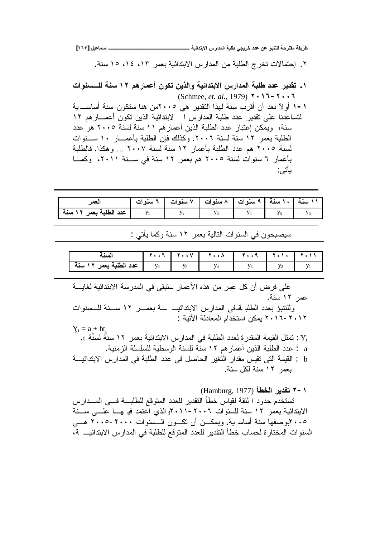**[ÏÓÐ] ¾ƒŵœƆŪō ºººººººººººººººººººººººŗƒőŒťřŕƙŒũŧŒťƆƃŒŗŕƄűƑރŧŤťťŵƇŵŌŕƈřƄƃŗšŧřƀƆŗƀƒŧű**

۲. إحتمالات تخرج الطلبة من المدارس الابتدائية بعمر ١٣، ١٤، ١٥ سنة.

 **ŘŒƍƈŪºƄƃŗƈŪ ÎÏƅƋŧœƆŵŊƇƍƂřƇƒŦƃŒƍŗƒőŒťřŕƙŒũŧŒťƆƃŒŗŕƄű ťťŵŧƒťƀř .Î** (Schmee, *et. al.,* 1979) **ÏÍÎÓ-ÏÍÍÓ** řƔ »ŬŕŬŌřƊŬ ƉƏƄśŬŕƊƍƉƈÐÎÎÓ ƓƍũƔŧƂśƅŔŔŨƎƅřƊŬŖũƁŌƉŌ ŧŸƊĻƛƏŌ **Î-Î** لتساعدنا على تقدير عدد طلبة المدارس التلاشية الذين تكون أعمـــار هم ١٢ سنة، ويمكن إعتبار عدد الطلبة الذين أعمارهم ١١ سنة لسنة ٢٠٠٥ هو عدد الطلبة بعمر ١٢ سنة لسنة ٢٠٠٦. وكذلك فإن الطلبة بأعمـــار ١٠ ســـنوات لسنة ٢٠٠٥ هم عدد الطلبة بأعمار ١٢ سنة لسنة ٢٠٠٧ ... وهكذا. فالطلبة بأعمار ٢ سنوات لسنة ٢٠٠٥ هم بعمر ١٢ سنة في سـنة ٢٠١١، وكمـا ياتي:

| لعمر                   |  | ١١ سنة   ١٠ سنة   ٩ سنوات   ٨ سنوات   ٧ سنوات   ٦ سنوات |  |  |
|------------------------|--|---------------------------------------------------------|--|--|
| عدد الطلبة بعمر ١٢ سنة |  |                                                         |  |  |

سيصبحون في السنوات التالية بعمر ١٢ سنة وكما يأتي :

| سته                       |            |      | $\Lambda$ |  |  |
|---------------------------|------------|------|-----------|--|--|
| ا عدد الطلبة بعه .<br>سىم | $V_{\ell}$ | $ -$ |           |  |  |

على فرض أن كل عمر من هذه الأعمار سنبقى في المدرسة الابندائية لغايــــة عمر ١٢ سنة. وللتتبؤ بعدد الطلب تحفي المدارس الابتدائيـــ ـــة بعمــــر ١٢ ســـنة للـــسنوات ٢٠١٦-٢٠١٢ يمكن استخدام المعادلة الآتية :  $Y_t = a + bt$ .t تمثل القيمة المقدرة لعدد الطلبة في المدارس الابتدائية بعمر ١٢ سنةٌ لسنَّة :. a : عدد الطلبة الذين أعمار هم ١٢ سنة للسنة الوسطية للسلسلة الز منية. b : القيمة التي تقيس مقدار التغير الحاصل في عدد الطلبة في المدارس الابتدائيـــة بعمر ١٢ سنة لكل سنة.

(Hamburg, 1977)**ŋűŤƃŒŧƒťƀř Ï-Î** تستخدم حدود ا لثقة لقياس خطأ التقدير للعدد المتوقع للطلبـــة فــــي المــــدارس الابتدائية بعُمر ١٢ سنة للسنوات ٢٠٠٦-٢٠١١والذي اُعتمد فير هـــا علــــى ســـنة ۰۰٥ کبوصفها سنة أساسرية. ويمكــن أن تكــون الــسنوات ۲۰۰۰–۲۰۰۵ هـــي السنو ات المختار ة لحساب خطأ التقدير للعدد المتو فع للطلبة في المدار س الابتدائيــــ نم،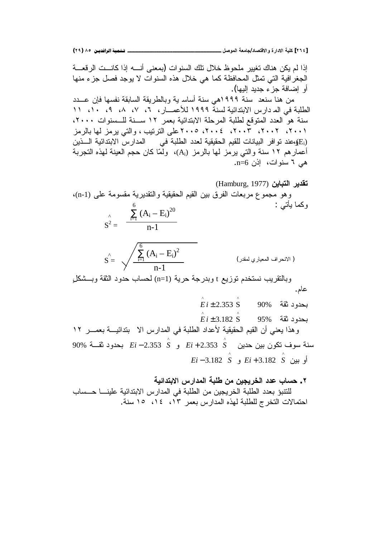**(ÏÖ) ÕÒ ÞNë¢Ë¦×ìÜàN**66666666666666666666666666666666666666666666666666666666666666666666666666666666666666666666666666**¾ŮƍƆƃŒŗŶƆœŞ/ťœŮřſƙŒƍŖŧŒťƙŒŗƒƄƂ [ÏÓÑ]**

إذا لم يكن هناك تغيير ملحوظ خلال تلك السنوات (بمعنى أنسه إذا كانست الرقعسة الجغرافية التي تمثل المحافظة كما هي خلال هذه السنوات لا يوجد فصل جزء منها أو اِضـافة جز ء جديد اليـها). من هنا سنعد سنة ١٩٩٩هي سنة أساسـ ية وبالطريقة السابقة نفسها فإن عـــدد الطلبة في الم دارس الابتدائية لسنة ١٩٩٩ للأعصــار ، ٢، ٧، ٨، ٩، ١٠، ١١ سنة هو العدد المتوقع لطلبة المرحلة الابتدائية بعمر ١٢ ســنة للـــسنوات ٢٠٠٠، ٢٠٠١، ٢٠٠٢، ٢٠٠٣، ٢٠٠٤، ٢٠٠٥علي الترتيب ، والتي يرمز لها بالرمز ن دقوافر البيانات للقيم الحقيقية لعدد الطلبة في المدارس الابتدائية الـــذين (E<sub>i</sub>) أعمارهم ١٢ سنة والتي يرمز لها بالرمز (Ai)، ولمّا كان حجم العينة لهذه التجربة  $n=6$ هے ، سنوات، اِذن 6=n.

**نقدير التباين (Hamburg, 1977)** وهو مجموع مربعات الفرق بين القيم الحقيقية والتقديرية مقسومة على (n-1)، وكما يأتي :  $\lambda$   $\sum_{i=1}^{6} (A_i - E_i)^{20}$ 

$$
S^2 = \frac{1}{n-1}
$$

$$
S = \sqrt{\frac{\sum_{i=1}^{6} (A_i - E_i)^2}{n-1}}
$$
 (|Var<sub>1</sub> | -1)

وبالنقريب نستخدم توزيع t وبدرجة حرية (n=1) لحساب حدود الثقة وبـــشكلٍ عام.

$$
\stackrel{\wedge}{E} i \pm 2.353 \stackrel{\wedge}{S} \qquad 90\%
$$

95% řƂŝŧƏŧţŗ ^ ^ *Ei* ± 3.182 S وهذا يعني أن القيم الحقيقية لأعداد الطلبة في المدارس الا بندائيــة بعمـــر ١٢ ƉƔŧţƉƔŗƉƏƄśŽƏŬřƊŬ ^ Ə *Ei* + 2.353 *S* ^ 90% ř»ƂŝŧƏŧţŗ *Ei* − 2.353 *S* ƉƔŗƏŌ ^ Ə *Ei* + 3.182 *S* ^ *Ei* − 3.182 *S*

**ŗƒőŒťřŕƙŒũŧŒťƆƃŒŗŕƄűƇƆƇƒŞƒŧŤƃŒťťŵŔœŪš .Ï** للنتبؤ بعدد الطلبة الخريجين من الطلبة في المدارس الابتدائية علينـــا حــساب لحتمالات التخرج للطلبة لهذه المدارس بعمر ١٣، ١٤، ١٥ سنة.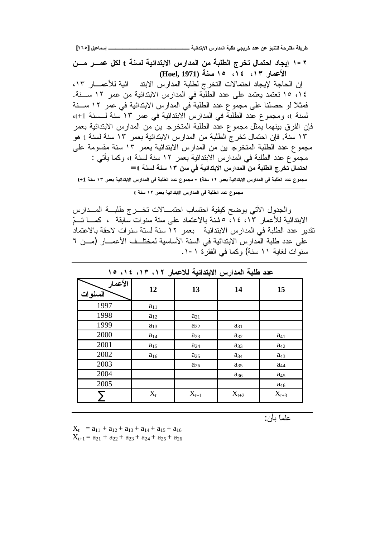٢ – ١ إيجاد احتمال تخرج الطلبة من المدارس الابتدائية لسنة t لكل عمـــر مـــن الأعمار ١٣، ١٤، ١٥ سنة (Hoel, 1971)

إن الحاجة لإيجاد احتمالات التخرج لطلبة المدارس الابتد ائية للأعمـــار ١٣، ١٤، ١٥ تعتمد يعتمد على عدد الطلبة في المدارس الابتدائية من عمر ١٢ ســنة. فمثلاً لو حصلنا على مجموع عدد الطلبة في المدارس الابتدائية في عمر ١٢ ســـنة لسنة t، ومجموع عدد الطلبة في المدارس الابتدائية في عمر ١٣ سنة لـسنة t+1، فإن الفرق بينهما يمثل مجموع عدد الطلبة المتخرج ين من المدارس الابتدائية بعمر ١٣ سنة. فإن احتمال تخرج الطلبة من المدارس الابتدائية بعمر ١٣ سنة لسنة t هو ِ مجموع عدد الطلبة المتخرج بن من المدارس الابتدائية بعمر ١٣ سنة مقسومة على مجموَّع عدد الطلبة في المدارس الابتدائية بعمر ١٢ سنة لسنة 1، وكما يأتي : احتمال تخرج الطلبة من المدارس الابتدائية في سن ١٣ سنة لسنة f =

مجموع عدد الطلبة في المدارس الابتدائية بعمر ١٢ سنةt - مجموع عدد الطلبة في المدارس الابتدائية بعمر ١٣ سنة t+1

مجموع عدد الطلبة في المدارس الابتدائية بعمر ١٢ سنة t

والجدول الآتي يوضح كيفية احتساب احتمـــالات تخـــرج طلبـــة المـــدارس الابتدائية للأعمار ١٢، ١٤، ٥ لمنة بالاعتماد على سنة سنوات سابقة ، كمـــا تـــمّ تقدير عدد الطلبة في المدارس الابتدائية بعمر ١٢ سنة لستة سنوات لاحقة بالاعتماد على عدد طلبة المدارِ س الابتدائية في السنة الأساسية لمختلــف الأعمـــار (مـــن ٦ سنوات لغاية ١١ سنة) وكما في الفقرة ١-١.

| عدد طلبه المدارس الابتدائية للاعقار ٢٠١٦، ١٢، ١٤، ١٥ |          |           |                        |                 |  |  |
|------------------------------------------------------|----------|-----------|------------------------|-----------------|--|--|
| الأعمار<br>السنوات                                   | 12       | 13        | 14                     | 15              |  |  |
| 1997                                                 | $a_{11}$ |           |                        |                 |  |  |
| 1998                                                 | $a_{12}$ | $a_{21}$  |                        |                 |  |  |
| 1999                                                 | $a_{13}$ | $a_{22}$  | $a_{31}$               |                 |  |  |
| 2000                                                 | $a_{14}$ | $a_{23}$  | $a_{32}$               | $a_{41}$        |  |  |
| 2001                                                 | $a_{15}$ | $a_{24}$  | $a_{33}$               | $a_{42}$        |  |  |
| 2002                                                 | $a_{16}$ | $a_{25}$  | <b>a</b> <sub>34</sub> | a <sub>43</sub> |  |  |
| 2003                                                 |          | $a_{26}$  | $a_{35}$               | $a_{44}$        |  |  |
| 2004                                                 |          |           | $a_{36}$               | a <sub>45</sub> |  |  |
| 2005                                                 |          |           |                        | $a_{46}$        |  |  |
|                                                      | $X_t$    | $X_{t+1}$ | $X_{t+2}$              | $X_{t+3}$       |  |  |

Louis Comment School County of the sum

علماً بأن:

 $X_t$  =  $a_{11} + a_{12} + a_{13} + a_{14} + a_{15} + a_{16}$  $X_{t+1} = a_{21} + a_{22} + a_{23} + a_{24} + a_{25} + a_{26}$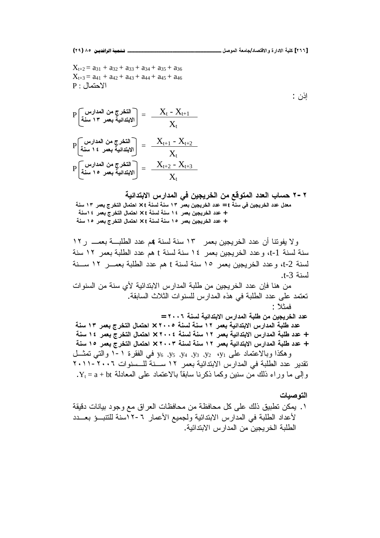$X_{t+2} = a_{31} + a_{32} + a_{33} + a_{34} + a_{35} + a_{36}$  $X_{t+3} = a_{41} + a_{42} + a_{43} + a_{44} + a_{45} + a_{46}$  $P:$  الاحتمال

$$
P\left[\begin{array}{c} \text{min}\left\{1-\frac{X_{t}-X_{t+1}}{X_{t}}\right\} \\ \text{min}\left\{1-\frac{X_{t}+X_{t+1}}{X_{t}}\right\} \end{array}\right] = \frac{X_{t}-X_{t+1}}{X_{t}}
$$
\n
$$
P\left[\begin{array}{c} \text{min}\left\{1-\frac{X_{t+1}-X_{t+2}}{X_{t}}\right\} \\ \text{min}\left\{1-\frac{X_{t+1}-X_{t+2}}{X_{t}}\right\} \end{array}\right] = \frac{X_{t+1}-X_{t+2}}{X_{t}}
$$
\n
$$
P\left[\begin{array}{c} \text{min}\left\{1-\frac{X_{t+2}-X_{t+3}}{X_{t}}\right\} \\ \text{min}\left\{1-\frac{X_{t+2}-X_{t+3}}{X_{t}}\right\} \end{array}\right] = \frac{X_{t+2}-X_{t+3}}{X_{t}}
$$

**ŗƒőŒťřŕƙŒũŧŒťƆƃŒƑżƇƒŞƒŧŤƃŒƇƆŴſƍřƆƃŒťťŶƃŒŔœŪš Ï-Ï** معلل عدد الخريجين في سنة t = عدد الخريجين بع*م*ر ١٣ سنة لسنة t × احتمال التخرج بعمر ١٣ سنة **ŗƈŪÎÑŧƆŶŕŜŧŤřƃŒ¾œƆřšŒ × tŗƈŪƃŗƈŪ ÎÑŧƆŶŕƇƒŞƒŧŤƃŒťťŵ + ŗƈŪ ÎÒŧƆŶŕŜŧŤřƃŒ¾œƆřšŒ × tŗƈŪƃŗƈŪ ÎÒŧƆŶŕƇƒŞƒŧŤƃŒťťŵ +**

ولا يفوننا أن عدد الخريجين بعمر ١٣ سنة لسنة هم عدد الطلبـــة بعمـــ ر١٢ سنة لسنة 1-t، و عدد الخريجين بعمر ١٤ سنة لسنة t هم عدد الطلبة بعمر ١٢ سنة لسنة t-2، وعدد الخريجين بعمر ١٥ سنة لسنة t هم عدد الطلبة بعمـــر ١٢ ســـنة .t-3 أسنة

من هنا فإن عدد الخر بجبن من طلبة المدار س الابتدائبة لأي سنة من السنو ات تعتمد على عدد الطلبة في هذه المدارس للسنوات الثلاث السابقة. فمثلاً :

حدد الخريجين من طلبة المدارس الابتدائية لسنة ٢٠٠٦ =

عدد طلبة المدارس الابتدائية بعمر ١٢ سنة لسنة ٢٠٠٥ × احتمال التخرج بع*م*ر ١٣ سنة **ŗƈŪ ÎÑŧƆŶŕŜŧŤřƃŒ¾œƆřšŒ × ÏÍÍÑŗƈŪƃŗƈŪ ÎÏŧƆŶŕŗƒőŒťřŕƙŒũŧŒťƆƃŒŗŕƄűťťŵ + ŗƈŪ ÎÒŧƆŶŕŜŧŤřƃŒ¾œƆřšŒ × ÏÍÍÐŗƈŪƃŗƈŪ ÎÏŧƆŶŕŗƒőŒťřŕƙŒũŧŒťƆƃŒŗŕƄűťťŵ +** وهكذا وبالاعتماد على y<sub>6 ،</sub>y<sub>3 ،</sub>y<sub>3</sub> ،y<sub>2</sub> ،y<sub>2</sub> في الفقرة ١-١ والتي تمثـــل تقدير عدد الطلبة في المدارس الابتدائية بعمر ١٢ ســنة للـــسنوات ٢٠٠٦-٢٠١١ .  $Y_t = a + b t$ و إلى ما ور اء ذلك من سنبن وكما ذكر نا سابقاً بالاعتماد على المعادلة ا

## ا**لته صبات**

۱ . يمكن تطبيق ذلك على كل محافظة من محافظات العراق مع وجود بيانات دقيقة لأعداد الطلبة في المدارس الابتدائية ولجميع الأعمار ٦-١٢سنة للتنبــؤ بعــدد الطلبة الخريجين من المدارس الابتدائية.

اذن  $:$